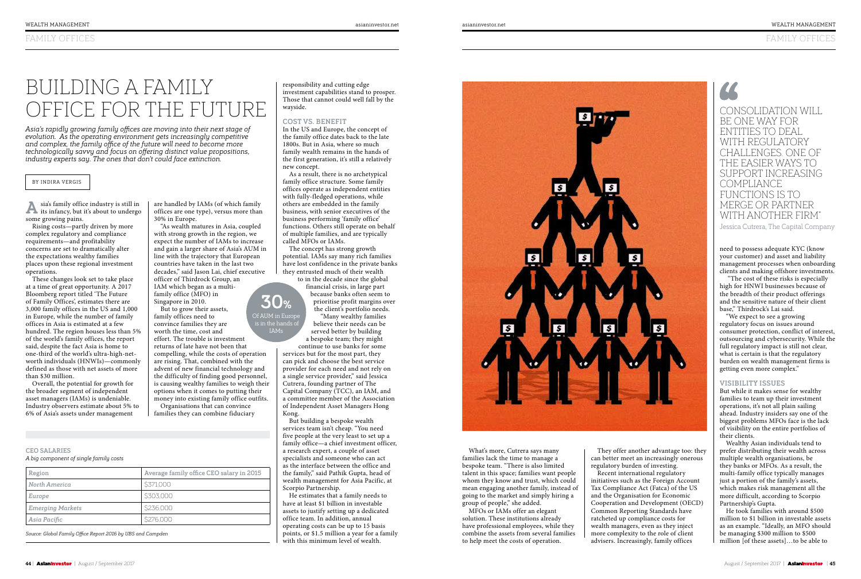

# FAMILY OFFICES

*Asia's rapidly growing family offices are moving into their next stage of evolution. As the operating environment gets increasingly competitive and complex, the family office of the future will need to become more technologically savvy and focus on offering distinct value propositions, industry experts say. The ones that don't could face extinction.*

### BY INDIRA VERGIS

**A**sia's family office industry is still in its infancy, but it's about to undergo some growing pains.

These changes look set to take place at a time of great opportunity. A 2017 Bloomberg report titled 'The Future of Family Offices', estimates there are 3,000 family offices in the US and 1,000 in Europe, while the number of family offices in Asia is estimated at a few hundred. The region houses less than 5% of the world's family offices, the report said, despite the fact Asia is home to one-third of the world's ultra-high-networth individuals (HNWIs)—commonly defined as those with net assets of more than \$30 million.

Rising costs—partly driven by more complex regulatory and compliance requirements—and profitability concerns are set to dramatically alter the expectations wealthy families places upon these regional investment operations.

# BUILDING A FAMILY OFFICE FOR THE FUTURE Wayside.

Overall, the potential for growth for the broader segment of independent asset managers (IAMs) is undeniable. Industry observers estimate about 5% to 6% of Asia's assets under management

BE ONE WAY FOR ENTITIES TO DEAL WITH REGULATORY CHALLENGES. ONE OF THE EASIER WAYS TO SUPPORT INCREASING COMPLIANCE FUNCTIONS IS TO MERGE OR PARTNER WITH ANOTHER FIRM"

Jessica Cutrera, The Capital Company

are handled by IAMs (of which family offices are one type), versus more than 30% in Europe.

But to grow their assets, family offices need to convince families they are worth the time, cost and

"As wealth matures in Asia, coupled with strong growth in the region, we expect the number of IAMs to increase and gain a larger share of Asia's AUM in line with the trajectory that European countries have taken in the last two decades," said Jason Lai, chief executive officer of Thirdrock Group, an IAM which began as a multifamily office (MFO) in Singapore in 2010. **30%**

effort. The trouble is investment returns of late have not been that compelling, while the costs of operation are rising. That, combined with the advent of new financial technology and the difficulty of finding good personnel, is causing wealthy families to weigh their options when it comes to putting their money into existing family office outfits.

Organisations that can convince families they can combine fiduciary

#### *A big component of single family costs* **CEO SALARIES**

| Region                  | Average family office CEO salary in 2015 |
|-------------------------|------------------------------------------|
| North America           | \$371,000                                |
| Europe                  | \$303,000                                |
| <b>Emerging Markets</b> | \$236,000                                |
| Asia Pacific            | \$276,000                                |

*Source: Global Family Office Report 2016 by UBS and Campden*

Of AUM in Europe is in the hands of IAMs

responsibility and cutting edge investment capabilities stand to prosper. Those that cannot could well fall by the wayside.

#### **COST VS. BENEFIT**

In the US and Europe, the concept of the family office dates back to the late 1800s. But in Asia, where so much family wealth remains in the hands of the first generation, it's still a relatively new concept.

As a result, there is no archetypical family office structure. Some family offices operate as independent entities with fully-fledged operations, while others are embedded in the family business, with senior executives of the business performing 'family office' functions. Others still operate on behalf of multiple families, and are typically called MFOs or IAMs.

The concept has strong growth potential. IAMs say many rich families have lost confidence in the private banks they entrusted much of their wealth to in the decade since the global

financial crisis, in large part because banks often seem to prioritise profit margins over the client's portfolio needs.

"Many wealthy families believe their needs can be served better by building a bespoke team; they might continue to use banks for some

services but for the most part, they can pick and choose the best service provider for each need and not rely on a single service provider," said Jessica Cutrera, founding partner of The Capital Company (TCC), an IAM, and a committee member of the Association of Independent Asset Managers Hong Kong.

But building a bespoke wealth services team isn't cheap. "You need five people at the very least to set up a family office—a chief investment officer, a research expert, a couple of asset specialists and someone who can act as the interface between the office and the family," said Pathik Gupta, head of wealth management for Asia Pacific, at Scorpio Partnership.

He estimates that a family needs to have at least \$1 billion in investable assets to justify setting up a dedicated office team. In addition, annual operating costs can be up to 15 basis points, or \$1.5 million a year for a family with this minimum level of wealth.



What's more, Cutrera says many families lack the time to manage a bespoke team. "There is also limited talent in this space; families want people whom they know and trust, which could mean engaging another family, instead of going to the market and simply hiring a group of people," she added.

MFOs or IAMs offer an elegant solution. These institutions already have professional employees, while they combine the assets from several families to help meet the costs of operation.

They offer another advantage too: they can better meet an increasingly onerous regulatory burden of investing. Recent international regulatory initiatives such as the Foreign Account Tax Compliance Act (Fatca) of the US and the Organisation for Economic Cooperation and Development (OECD) Common Reporting Standards have ratcheted up compliance costs for wealth managers, even as they inject more complexity to the role of client advisers. Increasingly, family offices

need to possess adequate KYC (know your customer) and asset and liability management processes when onboarding clients and making offshore investments.

 "The cost of these risks is especially high for HNWI businesses because of the breadth of their product offerings and the sensitive nature of their client base," Thirdrock's Lai said.

"We expect to see a growing regulatory focus on issues around consumer protection, conflict of interest, outsourcing and cybersecurity. While the full regulatory impact is still not clear, what is certain is that the regulatory burden on wealth management firms is getting even more complex."

### **VISIBILITY ISSUES**

But while it makes sense for wealthy families to team up their investment operations, it's not all plain sailing ahead. Industry insiders say one of the biggest problems MFOs face is the lack of visibility on the entire portfolios of their clients.

Wealthy Asian individuals tend to prefer distributing their wealth across multiple wealth organisations, be they banks or MFOs. As a result, the multi-family office typically manages just a portion of the family's assets, which makes risk management all the more difficult, according to Scorpio Partnership's Gupta.

He took families with around \$500 million to \$1 billion in investable assets as an example. "Ideally, an MFO should be managing \$300 million to \$500 million [of these assets]…to be able to